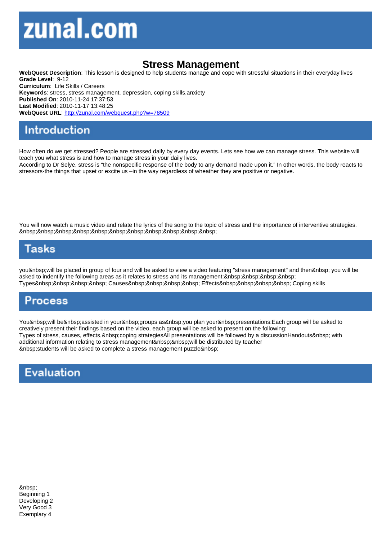## Stress Management

WebQuest Description: This lesson is designed to help students manage and cope with stressful situations in their everyday lives Grade Level: 9-12 Curriculum: Life Skills / Careers Keywords: stress, stress management, depression, coping skills,anxiety Published On: 2010-11-24 17:37:53 Last Modified: 2010-11-17 13:48:25 WebQuest URL: http://zunal.com/webquest.php?w=78509

How often do we get stressed? People are stressed daily by every day events. Lets see how we can manage stress. This website will teach you what stress is and how to manage stress in your daily lives.

According to Dr Selye, stress is "the nonspecific response of the body to any demand made upon it." In other words, the body reacts to stressors-the things that upset or excite us –in the way regardless of wheather they are positive or negative.

You will now watch a music video and relate the lyrics of the song to the topic of stress and the importance of interventive strategies. 

you will be placed in group of four and will be asked to view a video featuring "stress management" and then you will be asked to indentify the following areas as it relates to stress and its management: Types Causes Effects Coping skills

You will be assisted in your groups as you plan your presentations:Each group will be asked to creatively present their findings based on the video, each group will be asked to present on the following: Types of stress, causes, effects, coping strategiesAll presentations will be followed by a discussionHandouts with additional information relating to stress management will be distributed by teacher students will be asked to complete a stress management puzzle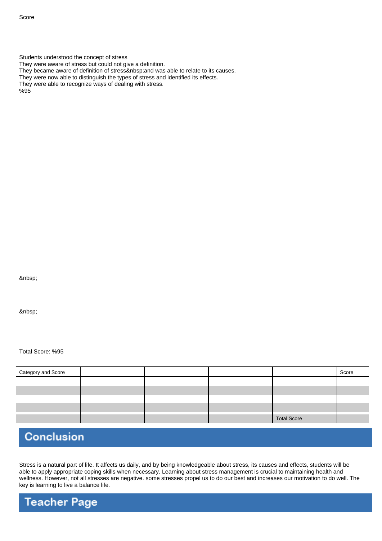Students understood the concept of stress

They were aware of stress but could not give a definition.

They became aware of definition of stress and was able to relate to its causes.

They were now able to distinguish the types of stress and identified its effects.

They were able to recognize ways of dealing with stress.

%95

Total Score: %95

| Category and Score |  |                    | Score |
|--------------------|--|--------------------|-------|
|                    |  |                    |       |
|                    |  |                    |       |
|                    |  |                    |       |
|                    |  |                    |       |
|                    |  | <b>Total Score</b> |       |

## Conclusion

Stress is a natural part of life. It affects us daily, and by being knowledgeable about stress, its causes and effects, students will be able to apply appropriate coping skills when necessary. Learning about stress management is crucial to maintaining health and wellness. However, not all stresses are negative. some stresses propel us to do our best and increases our motivation to do well. The key is learning to live a balance life.